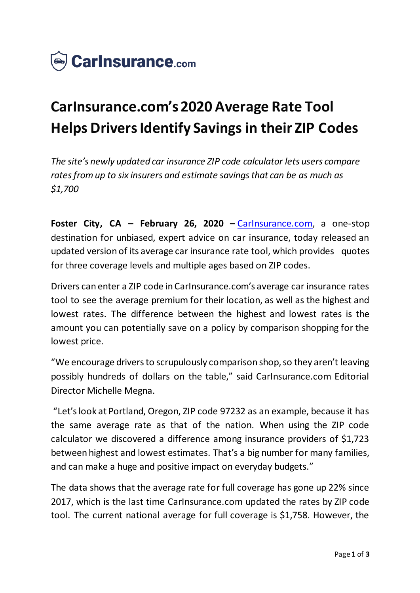

## **CarInsurance.com's 2020 Average Rate Tool Helps Drivers Identify Savings in their ZIP Codes**

*The site's newly updated car insurance ZIP code calculator lets users compare rates from up to six insurers and estimate savings that can be as much as \$1,700*

**Foster City, CA – February 26, 2020 –** [CarInsurance.com,](https://www.carinsurance.com/) a one-stop destination for unbiased, expert advice on car insurance, today released an updated version of its average car insurance rate tool, which provides quotes for three coverage levels and multiple ages based on ZIP codes.

Drivers can enter a ZIP code in CarInsurance.com's average car insurance rates tool to see the average premium for their location, as well as the highest and lowest rates. The difference between the highest and lowest rates is the amount you can potentially save on a policy by comparison shopping for the lowest price.

"We encourage drivers to scrupulously comparison shop, so they aren't leaving possibly hundreds of dollars on the table," said CarInsurance.com Editorial Director Michelle Megna.

"Let's look at Portland, Oregon, ZIP code 97232 as an example, because it has the same average rate as that of the nation. When using the ZIP code calculator we discovered a difference among insurance providers of \$1,723 between highest and lowest estimates. That's a big number for many families, and can make a huge and positive impact on everyday budgets."

The data shows that the average rate for full coverage has gone up 22% since 2017, which is the last time CarInsurance.com updated the rates by ZIP code tool. The current national average for full coverage is \$1,758. However, the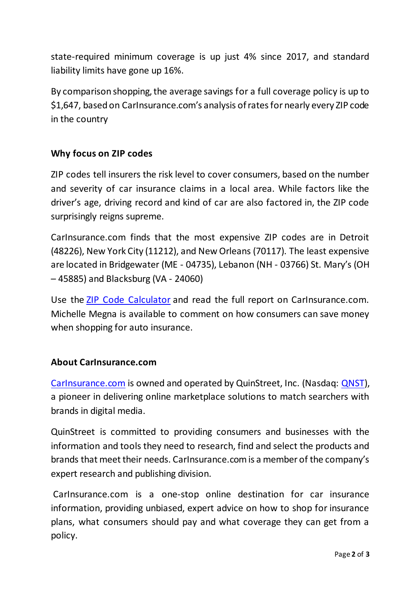state-required minimum coverage is up just 4% since 2017, and standard liability limits have gone up 16%.

By comparison shopping, the average savings for a full coverage policy is up to \$1,647, based on CarInsurance.com's analysis of rates for nearly every ZIP code in the country

## **Why focus on ZIP codes**

ZIP codes tell insurers the risk level to cover consumers, based on the number and severity of car insurance claims in a local area. While factors like the driver's age, driving record and kind of car are also factored in, the ZIP code surprisingly reigns supreme.

CarInsurance.com finds that the most expensive ZIP codes are in Detroit (48226), New York City (11212), and New Orleans (70117). The least expensive are located in Bridgewater (ME - 04735), Lebanon (NH - 03766) St. Mary's (OH – 45885) and Blacksburg (VA - 24060)

Use the [ZIP Code Calculator](https://www.carinsurance.com/calculators/average-car-insurance-rates.aspx) and read the full report on CarInsurance.com. Michelle Megna is available to comment on how consumers can save money when shopping for auto insurance.

## **About CarInsurance.com**

[CarInsurance.com](https://www.carinsurance.com/) is owned and operated by QuinStreet, Inc. (Nasdaq: [QNST\)](https://www.nasdaq.com/symbol/qnst), a pioneer in delivering online marketplace solutions to match searchers with brands in digital media.

QuinStreet is committed to providing consumers and businesses with the information and tools they need to research, find and select the products and brands that meet their needs. CarInsurance.com is a member of the company's expert research and publishing division.

CarInsurance.com is a one-stop online destination for car insurance information, providing unbiased, expert advice on how to shop for insurance plans, what consumers should pay and what coverage they can get from a policy.